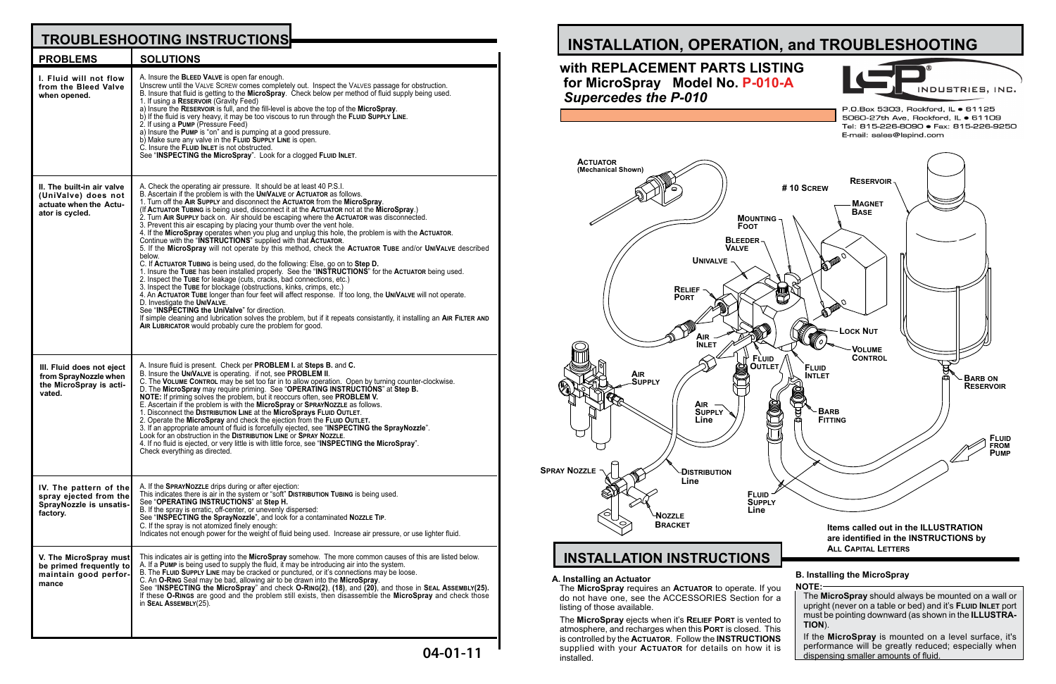**NOTE:**

If the **MicroSpray** is mounted on a level surface, it's performance will be greatly reduced; especially when dispensing smaller amounts of fluid.

## The **MicroSpray** should always be mounted on a wall or upright (never on a table or bed) and it's **Fluid Inlet** port must be pointing downward (as shown in the **ILLUSTRA-TION**).



# *Supercedes the P-010*

#### **A. Installing an Actuator**

The **MicroSpray** requires an **Actuator** to operate. If you do not have one, see the ACCESSORIES Section for a listing of those available.

The **MicroSpray** ejects when it's **Relief Port** is vented to atmosphere, and recharges when this **Port** is closed. This is controlled by the **Actuator**. Follow the **INSTRUCTIONS** supplied with your **Actuator** for details on how it is installed.

# **TROUBLESHOOTING**

| <b>G INSTRUCTIONS</b> |  |
|-----------------------|--|
|                       |  |
|                       |  |

| <b>PROBLEMS</b>                                                                                | <b>SOLUTIONS</b>                                                                                                                                                                                                                                                                                                                                                                                                                                                                                                                                                                                                                                                                                                                                                                                                                                                                                                                                                                                                                                                                                                                                                                                                                                                                                                                                                                                                                                                                                                            |
|------------------------------------------------------------------------------------------------|-----------------------------------------------------------------------------------------------------------------------------------------------------------------------------------------------------------------------------------------------------------------------------------------------------------------------------------------------------------------------------------------------------------------------------------------------------------------------------------------------------------------------------------------------------------------------------------------------------------------------------------------------------------------------------------------------------------------------------------------------------------------------------------------------------------------------------------------------------------------------------------------------------------------------------------------------------------------------------------------------------------------------------------------------------------------------------------------------------------------------------------------------------------------------------------------------------------------------------------------------------------------------------------------------------------------------------------------------------------------------------------------------------------------------------------------------------------------------------------------------------------------------------|
| I. Fluid will not flow<br>from the Bleed Valve<br>when opened.                                 | A. Insure the <b>BLEED VALVE</b> is open far enough.<br>Unscrew until the VALVE SCREW comes completely out. Inspect the VALVES passage for obstruction.<br>B. Insure that fluid is getting to the <b>MicroSpray</b> . Check below per method of fluid supply being used.<br>1. If using a RESERVOIR (Gravity Feed)<br>a) Insure the RESERVOIR is full, and the fill-level is above the top of the MicroSpray.<br>b) If the fluid is very heavy, it may be too viscous to run through the FLUID SUPPLY LINE.<br>2. If using a PUMP (Pressure Feed)<br>a) Insure the PUMP is "on" and is pumping at a good pressure.<br>b) Make sure any valve in the FLUID SUPPLY LINE is open.<br>C. Insure the FLUID INLET is not obstructed.<br>See "INSPECTING the MicroSpray". Look for a clogged FLUID INLET.                                                                                                                                                                                                                                                                                                                                                                                                                                                                                                                                                                                                                                                                                                                          |
| II. The built-in air valve<br>(UniValve) does not<br>actuate when the Actu-<br>ator is cycled. | A. Check the operating air pressure. It should be at least 40 P.S.I.<br>B. Ascertain if the problem is with the UNIVALVE or ACTUATOR as follows.<br>1. Turn off the AIR SUPPLY and disconnect the ACTUATOR from the MicroSpray.<br>(If ACTUATOR TUBING is being used, disconnect it at the ACTUATOR not at the MicroSpray.)<br>2. Turn AIR SUPPLY back on. Air should be escaping where the ACTUATOR was disconnected.<br>3. Prevent this air escaping by placing your thumb over the vent hole.<br>4. If the MicroSpray operates when you plug and unplug this hole, the problem is with the ACTUATOR.<br>Continue with the "INSTRUCTIONS" supplied with that ACTUATOR.<br>5. If the MicroSpray will not operate by this method, check the ACTUATOR TUBE and/or UNIVALVE described<br>below.<br>C. If ACTUATOR TUBING is being used, do the following: Else, go on to Step D.<br>1. Insure the TUBE has been installed properly. See the "INSTRUCTIONS" for the ACTUATOR being used.<br>2. Inspect the TUBE for leakage (cuts, cracks, bad connections, etc.)<br>3. Inspect the TUBE for blockage (obstructions, kinks, crimps, etc.)<br>4. An ACTUATOR TUBE longer than four feet will affect response. If too long, the UNIVALVE will not operate.<br>D. Investigate the UNIVALVE.<br>See "INSPECTING the UniValve" for direction.<br>If simple cleaning and lubrication solves the problem, but if it repeats consistantly, it installing an AIR FILTER AND<br>AIR LUBRICATOR would probably cure the problem for good. |
| III. Fluid does not eject<br>from SprayNozzle when<br>the MicroSpray is acti-<br>vated.        | A. Insure fluid is present. Check per <b>PROBLEM I.</b> at <b>Steps B.</b> and <b>C.</b><br>B. Insure the UNIVALVE is operating. if not, see PROBLEM II.<br>C. The VOLUME CONTROL may be set too far in to allow operation. Open by turning counter-clockwise.<br>D. The MicroSpray may require priming. See "OPERATING INSTRUCTIONS" at Step B.<br>NOTE: If priming solves the problem, but it reoccurs often, see PROBLEM V.<br>E. Ascertain if the problem is with the MicroSpray or SPRAYNOZZLE as follows.<br>1. Disconnect the DISTRIBUTION LINE at the MicroSprays FLUID OUTLET.<br>2. Operate the MicroSpray and check the ejection from the FLUID OUTLET.<br>3. If an appropriate amount of fluid is forcefully ejected, see "INSPECTING the SprayNozzle".<br>Look for an obstruction in the DISTRIBUTION LINE or SPRAY NOZZLE.<br>4. If no fluid is ejected, or very little is with little force, see "INSPECTING the MicroSpray".<br>Check everything as directed.                                                                                                                                                                                                                                                                                                                                                                                                                                                                                                                                               |
| IV. The pattern of the<br>spray ejected from the<br>SprayNozzle is unsatis-<br>factory.        | A. If the SPRAYNOZZLE drips during or after ejection:<br>This indicates there is air in the system or "soft" DISTRIBUTION TUBING is being used.<br>See "OPERATING INSTRUCTIONS" at Step H.<br>B. If the spray is erratic, off-center, or unevenly dispersed:<br>See "INSPECTING the SprayNozzle", and look for a contaminated NozzLE TIP.<br>C. If the spray is not atomized finely enough:<br>Indicates not enough power for the weight of fluid being used. Increase air pressure, or use lighter fluid.                                                                                                                                                                                                                                                                                                                                                                                                                                                                                                                                                                                                                                                                                                                                                                                                                                                                                                                                                                                                                  |
| V. The MicroSpray must<br>be primed frequently to<br>maintain good perfor-<br>mance            | This indicates air is getting into the MicroSpray somehow. The more common causes of this are listed below.<br>A. If a PUMP is being used to supply the fluid, it may be introducing air into the system.<br>B. The FLUID SUPPLY LINE may be cracked or punctured, or it's connections may be loose.<br>C. An O-RING Seal may be bad, allowing air to be drawn into the MicroSpray.<br>See "INSPECTING the MicroSpray" and check O-RING(2), (18), and (20), and those in SEAL AssEMBLY(25).<br>If these O-RINGS are good and the problem still exists, then disassemble the MicroSpray and check those<br>in SEAL ASSEMBLY(25).                                                                                                                                                                                                                                                                                                                                                                                                                                                                                                                                                                                                                                                                                                                                                                                                                                                                                             |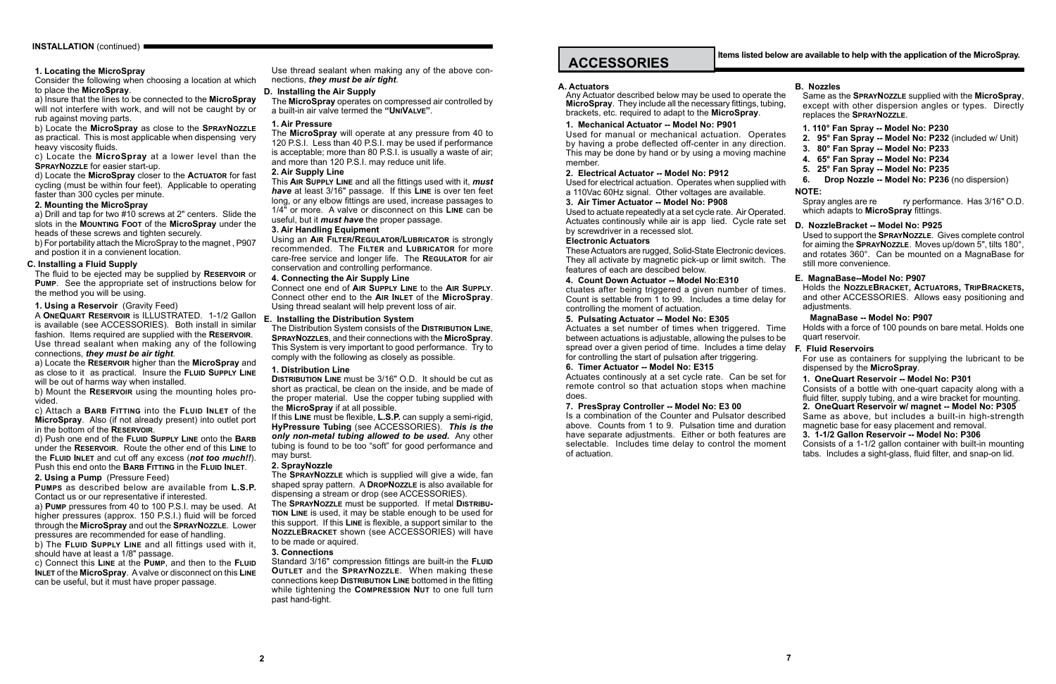#### **1. Locating the MicroSpray**

Consider the following when choosing a location at which to place the **MicroSpray**.

a) Insure that the lines to be connected to the **MicroSpray** will not interfere with work, and will not be caught by or rub against moving parts.

b) Locate the **MicroSpray** as close to the **SprayNozzle** as practical. This is most applicable when dispensing very heavy viscosity fluids.

c) Locate the **MicroSpray** at a lower level than the **SprayNozzle** for easier start-up.

d) Locate the **MicroSpray** closer to the **Actuator** for fast cycling (must be within four feet). Applicable to operating faster than 300 cycles per minute.

#### **2. Mounting the MicroSpray**

a) Locate the **Reservoir** higher than the **MicroSpray** and as close to it as practical. Insure the **Fluid Supply Line** will be out of harms way when installed.

a) Drill and tap for two #10 screws at 2" centers. Slide the slots in the **Mounting Foot** of the **MicroSpray** under the heads of these screws and tighten securely.

b) For portability attach the MicroSpray to the magnet , P907 and postion it in a convienent location.

## **C. Installing a Fluid Supply**

The fluid to be ejected may be supplied by **Reservoir** or **Pump**. See the appropriate set of instructions below for the method you will be using.

**1. Using a Reservoir** (Gravity Feed)

A **OneQuart Reservoir** is ILLUSTRATED. 1-1/2 Gallon is available (see ACCESSORIES). Both install in similar fashion. Items required are supplied with the **Reservoir**. Use thread sealant when making any of the following connections, *they must be air tight*.

b) Mount the **Reservoir** using the mounting holes provided.

c) Attach a **Barb Fitting** into the **Fluid Inlet** of the **MicroSpray**. Also (if not already present) into outlet port in the bottom of the **Reservoir**.

d) Push one end of the **Fluid Supply Line** onto the **Barb** under the **Reservoir**. Route the other end of this **Line** to the **Fluid Inlet** and cut off any excess (*not too much!!*). Push this end onto the **Barb Fitting** in the **Fluid Inlet**.

**2. Using a Pump** (Pressure Feed)

**Pumps** as described below are available from **L.S.P.**  Contact us or our representative if interested.

a) **Pump** pressures from 40 to 100 P.S.I. may be used. At higher pressures (approx. 150 P.S.I.) fluid will be forced through the **MicroSpray** and out the **SprayNozzle**. Lower pressures are recommended for ease of handling.

b) The **Fluid Supply Line** and all fittings used with it, should have at least a 1/8" passage.

c) Connect this **Line** at the **Pump**, and then to the **Fluid Inlet** of the **MicroSpray**. A valve or disconnect on this **Line** can be useful, but it must have proper passage.

Use thread sealant when making any of the above connections, *they must be air tight*.

#### **D. Installing the Air Supply**

Any Actuator described below may be used to operate **MicroSpray.** They include all the necessary fittings, tubing brackets, etc. required to adapt to the **MicroSpray**.

The **MicroSpray** operates on compressed air controlled by a built-in air valve termed the **"UniValve"**.

> Used for manual or mechanical actuation. Operat by having a probe deflected off-center in any direction This may be done by hand or by using a moving maching member.

#### **1. Air Pressure**

Used for electrical actuation. Operates when supplied w a 110Vac 60Hz signal. Other voltages are available.

The **MicroSpray** will operate at any pressure from 40 to 120 P.S.I. Less than 40 P.S.I. may be used if performance is acceptable; more than 80 P.S.I. is usually a waste of air; and more than 120 P.S.I. may reduce unit life.

> Used to actuate repeatedly at a set cycle rate. Air Operate Actuates continously while air is app lied. Cycle rate at by screwdriver in a recessed slot.

#### **2. Air Supply Line**

These Actuators are rugged, Solid-State Electronic device They all activate by magnetic pick-up or limit switch. features of each are descibed below.

ctuates after being triggered a given number of time Count is settable from 1 to 99. Includes a time delay controlling the moment of actuation.

This **Air Supply Line** and all the fittings used with it, *must have* at least 3/16" passage. If this **Line** is over ten feet long, or any elbow fittings are used, increase passages to 1/4" or more. A valve or disconnect on this **Line** can be useful, but it *must have* the proper passage.

> Actuates a set number of times when triggered. Times between actuations is adjustable, allowing the pulses to be spread over a given period of time. Includes a time del for controlling the start of pulsation after triggering.

#### **3. Air Handling Equipment**

Actuates continously at a set cycle rate. Can be set remote control so that actuation stops when maching does.

Using an **Air Filter/Regulator/Lubricator** is strongly recommended. The **Filter** and **Lubricator** for more care-free service and longer life. The **Regulator** for air conservation and controlling performance.

> Is a combination of the Counter and Pulsator described as above. Counts from 1 to 9. Pulsation time and duration have separate adjustments. Either or both features selectable. Includes time delay to control the mome of actuation.

#### **4. Connecting the Air Supply Line**

Connect one end of **Air Supply Line** to the **Air Supply**. Connect other end to the **Air Inlet** of the **MicroSpray**. Using thread sealant will help prevent loss of air.

## **E. Installing the Distribution System**

The Distribution System consists of the **Distribution Line**, **SprayNozzles**, and their connections with the **MicroSpray**. This System is very important to good performance. Try to comply with the following as closely as possible.

#### **1. Distribution Line**

**Distribution Line** must be 3/16" O.D. It should be cut as short as practical, be clean on the inside, and be made of the proper material. Use the copper tubing supplied with the **MicroSpray** if at all possible.

If this **Line** must be flexible, **L.S.P.** can supply a semi-rigid, **HyPressure Tubing** (see ACCESSORIES). *This is the only non-metal tubing allowed to be used.* Any other tubing is found to be too "soft" for good performance and may burst.

#### **2. SprayNozzle**

The **SprayNozzle** which is supplied will give a wide, fan shaped spray pattern. A **DropNozzle** is also available for dispensing a stream or drop (see ACCESSORIES).

The **SprayNozzle** must be supported. If metal **Distribution Line** is used, it may be stable enough to be used for this support. If this **Line** is flexible, a support similar to the **NozzleBracket** shown (see ACCESSORIES) will have to be made or aquired.

#### **3. Connections**

Standard 3/16" compression fittings are built-in the **Fluid Outlet** and the **SprayNozzle**. When making these connections keep **Distribution Line** bottomed in the fitting while tightening the **Compression Nut** to one full turn past hand-tight.

#### **A. Actuators**

#### **1. Mechanical Actuator -- Model No: P901**

#### **2. Electrical Actuator -- Model No: P912**

#### **3. Air Timer Actuator -- Model No: P908**

#### **Electronic Actuators**

#### **4. Count Down Actuator -- Model No:E310**

#### **5. Pulsating Actuator -- Model No: E305**

#### **6. Timer Actuator -- Model No: E315**

#### **7. PresSpray Controller -- Model No: E3 00**

**Items listed below are available to help with the application of the MicroSpray.**

| the<br>ing,        | <b>B. Nozzles</b><br>Same as the SPRAYNOZZLE supplied with the MicroSpray,<br>except with other dispersion angles or types. Directly<br>replaces the SPRAYNOZZLE.                                                          |
|--------------------|----------------------------------------------------------------------------------------------------------------------------------------------------------------------------------------------------------------------------|
| tes<br>on.<br>ıine | 1. 110° Fan Spray -- Model No: P230<br>95° Fan Spray -- Model No: P232 (included w/ Unit)<br>2.<br>80° Fan Spray -- Model No: P233<br>3.<br>65° Fan Spray -- Model No: P234<br>4.<br>25° Fan Spray -- Model No: P235<br>5. |
| vith               | Drop Nozzle -- Model No: P236 (no dispersion)<br>6.                                                                                                                                                                        |
| ed.                | <b>NOTE:</b><br>ry performance. Has 3/16" O.D.<br>Spray angles are re<br>which adapts to MicroSpray fittings.                                                                                                              |
| set                | D. NozzleBracket -- Model No: P925<br>Used to support the SPRAYNOZZLE. Gives complete control                                                                                                                              |
| es.<br>Гhе         | for aiming the SPRAYNOZZLE. Moves up/down 5", tilts 180°,<br>and rotates 360°. Can be mounted on a MagnaBase for<br>still more convenience.                                                                                |
| es.<br>for         | E. MagnaBase--Model No: P907<br>Holds the NOZZLEBRACKET, ACTUATORS, TRIPBRACKETS,<br>and other ACCESSORIES. Allows easy positioning and<br>adjustments.                                                                    |
| me<br>be (         | MagnaBase -- Model No: P907<br>Holds with a force of 100 pounds on bare metal. Holds one<br>quart reservoir.                                                                                                               |
| ay.                | <b>F. Fluid Reservoirs</b><br>For use as containers for supplying the lubricant to be<br>dispensed by the MicroSpray.                                                                                                      |
| for<br>ine         | 1. OneQuart Reservoir -- Model No: P301<br>Consists of a bottle with one-quart capacity along with a<br>fluid filter, supply tubing, and a wire bracket for mounting.<br>2. OneQuart Reservoir w/ magnet -- Model No: P305 |
| bed                | Same as above, but includes a built-in high-strength                                                                                                                                                                       |
| lion               | magnetic base for easy placement and removal.                                                                                                                                                                              |
| are                | 3. 1-1/2 Gallon Reservoir -- Model No: P306<br>Consists of a 1-1/2 gallon container with built-in mounting                                                                                                                 |
| ent                | tabs. Includes a sight-glass, fluid filter, and snap-on lid.                                                                                                                                                               |

## **ACCESSORIES**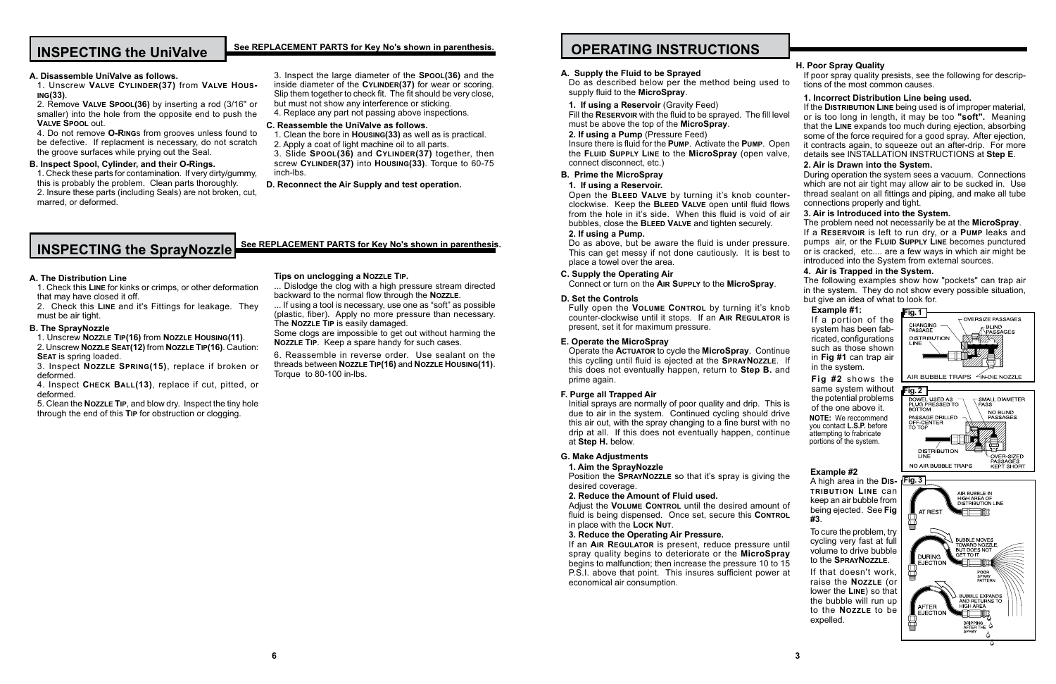#### **A. Supply the Fluid to be Sprayed**

Do as described below per the method being used supply fluid to the **MicroSpray**.

Fill the **RESERVOIR** with the fluid to be sprayed. The fill le must be above the top of the **MicroSpray**.

**1. If using a Reservoir** (Gravity Feed)

**Insure there is fluid for the PUMP. Activate the PUMP. Open** the **Fluid Supply Line** to the **MicroSpray** (open valve, connect disconnect, etc.)

#### **2. If using a Pump** (Pressure Feed)

Open the **BLEED VALVE** by turning it's knob count clockwise. Keep the **BLEED VALVE** open until fluid flo from the hole in it's side. When this fluid is void of bubbles, close the **Bleed Valve** and tighten securely. **2. If using a Pump.**

Do as above, but be aware the fluid is under pressure. This can get messy if not done cautiously. It is best place a towel over the area.

### **B. Prime the MicroSpray**

#### **1. If using a Reservoir.**

Fully open the **VOLUME CONTROL** by turning it's kno counter-clockwise until it stops. If an **AIR REGULATOR** present, set it for maximum pressure.

Operate the **Actuator** to cycle the **MicroSpray**. Continuent this cycling until fluid is ejected at the **SPRAYNOZZLE**. this does not eventually happen, return to **Step B.** prime again.

Initial sprays are normally of poor quality and drip. This due to air in the system. Continued cycling should dr this air out, with the spray changing to a fine burst with drip at all. If this does not eventually happen, continue at **Step H.** below.

Position the **SPRAYNOZZLE** so that it's spray is giving desired coverage.

#### **C. Supply the Operating Air**

Connect or turn on the **Air Supply** to the **MicroSpray**.

Adjust the **VOLUME CONTROL** until the desired amount fluid is being dispensed. Once set, secure this CONTI in place with the **Lock Nut**.

#### **D. Set the Controls**

If an **AIR REGULATOR** is present, reduce pressure until spray quality begins to deteriorate or the **MicroSpr** begins to malfunction; then increase the pressure 10 to P.S.I. above that point. This insures sufficient power economical air consumption.

|                         | H. Poor Spray Quality                                                                           | If poor spray quality presists, see the following for descrip-                                                                                                                                                                                       |  |
|-------------------------|-------------------------------------------------------------------------------------------------|------------------------------------------------------------------------------------------------------------------------------------------------------------------------------------------------------------------------------------------------------|--|
| d to                    | tions of the most common causes.                                                                |                                                                                                                                                                                                                                                      |  |
| evel                    | 1. Incorrect Distribution Line being used.                                                      | If the DISTRIBUTION LINE being used is of improper material,<br>or is too long in length, it may be too "soft". Meaning<br>that the LINE expands too much during ejection, absorbing<br>some of the force required for a good spray. After ejection, |  |
| pen<br>lve,             |                                                                                                 | it contracts again, to squeeze out an after-drip. For more<br>details see INSTALLATION INSTRUCTIONS at Step E.                                                                                                                                       |  |
|                         | 2. Air is Drawn into the System.                                                                | During operation the system sees a vacuum. Connections<br>which are not air tight may allow air to be sucked in. Use                                                                                                                                 |  |
| ter-                    | thread sealant on all fittings and piping, and make all tube<br>connections properly and tight. |                                                                                                                                                                                                                                                      |  |
| ows<br><sup>:</sup> air | 3. Air is Introduced into the System.                                                           |                                                                                                                                                                                                                                                      |  |
|                         |                                                                                                 | The problem need not necessarily be at the MicroSpray.<br>If a RESERVOIR is left to run dry, or a PUMP leaks and                                                                                                                                     |  |
| ure.                    |                                                                                                 | pumps air, or the FLUID SUPPLY LINE becomes punctured<br>or is cracked, etc are a few ways in which air might be                                                                                                                                     |  |
| st to                   | introduced into the System from external sources.                                               |                                                                                                                                                                                                                                                      |  |
|                         | 4. Air is Trapped in the System.                                                                |                                                                                                                                                                                                                                                      |  |
|                         |                                                                                                 | The following examples show how "pockets" can trap air<br>in the system. They do not show every possible situation,                                                                                                                                  |  |
| nob                     | but give an idea of what to look for.                                                           |                                                                                                                                                                                                                                                      |  |
| R is                    | Example #1:<br>If a portion of the                                                              | Fig. 1<br><b>OVERSIZE PASSAGES</b>                                                                                                                                                                                                                   |  |
|                         | system has been fab-                                                                            | <b>CHANGING</b><br><b>BLIND</b><br>PASSAGE                                                                                                                                                                                                           |  |
|                         | ricated, configurations                                                                         | PASSAGES<br><b>DISTRIBUTION</b>                                                                                                                                                                                                                      |  |
|                         | such as those shown                                                                             | LINE                                                                                                                                                                                                                                                 |  |
| nue<br>Ιf               | in Fig #1 can trap air                                                                          |                                                                                                                                                                                                                                                      |  |
| and                     | in the system.                                                                                  |                                                                                                                                                                                                                                                      |  |
|                         | Fig #2 shows the                                                                                | <b><sup>∠</sup>IN-DIE NOZZLE</b><br>AIR BUBBLE TRAPS                                                                                                                                                                                                 |  |
|                         | same system without                                                                             | Fig. 2                                                                                                                                                                                                                                               |  |
| is is                   | the potential problems                                                                          | DOWEL USED AS<br>SMALL DIAMETER                                                                                                                                                                                                                      |  |
| rive                    | of the one above it.                                                                            | PLUG PRESSED TO<br><b>PASS</b><br>BOTTOM<br>NO BLIND                                                                                                                                                                                                 |  |
| on ו                    | <b>NOTE:</b> We reccommend                                                                      | PASSAGE DRILLED<br>PASSAGES<br>OFF-CENTER                                                                                                                                                                                                            |  |
| nue                     | you contact L.S.P. before<br>attempting to frabricate                                           | ТО ТОР                                                                                                                                                                                                                                               |  |
|                         | portions of the system.                                                                         |                                                                                                                                                                                                                                                      |  |
|                         |                                                                                                 | <b>DISTRIBUTION</b>                                                                                                                                                                                                                                  |  |
|                         |                                                                                                 | LINE<br>OVER-SIZED<br>PASSAGES<br>NO AIR BUBBLE TRAPS                                                                                                                                                                                                |  |
| the                     | Example #2                                                                                      | <b>KEPT SHORT</b>                                                                                                                                                                                                                                    |  |
|                         | A high area in the DIS-                                                                         | Fig. 3                                                                                                                                                                                                                                               |  |
|                         | <b>TRIBUTION LINE CAN</b>                                                                       | AIR BUBBLE IN                                                                                                                                                                                                                                        |  |
| າt of                   | keep an air bubble from                                                                         | <b>HIGH AREA OF</b><br><b>DISTRIBUTION LINE</b>                                                                                                                                                                                                      |  |
| ROL                     | being ejected. See Fig<br>#3.                                                                   | AT REST<br>▥<br>◫                                                                                                                                                                                                                                    |  |
|                         | To cure the problem, try                                                                        |                                                                                                                                                                                                                                                      |  |
| until                   | cycling very fast at full                                                                       | <b>BUBBLE MOVES</b><br>TOWARD NOZZLE,                                                                                                                                                                                                                |  |
| rav                     | volume to drive bubble                                                                          | <b>BUT DOES NOT</b><br>GET TO IT<br>DURING                                                                                                                                                                                                           |  |
| 15 כ                    | to the SPRAYNOZZLE.                                                                             | <b>EJECTION</b><br>咽                                                                                                                                                                                                                                 |  |
| r at                    | If that doesn't work,                                                                           | <b>POOR</b><br>冒<br>SPRAY                                                                                                                                                                                                                            |  |
|                         | raise the NozzLE (or                                                                            | PATTERN                                                                                                                                                                                                                                              |  |
|                         | lower the LINE) so that                                                                         | <b>BUBBLE EXPANDS</b>                                                                                                                                                                                                                                |  |
|                         | the bubble will run up<br>to the NozzLE to be                                                   | AND RETURNS TO<br>HIGH AREA<br>AFTER                                                                                                                                                                                                                 |  |
|                         | expelled.                                                                                       | <b>EJECTION</b><br>呕                                                                                                                                                                                                                                 |  |
|                         |                                                                                                 | <b>DRIPPING</b><br>AFTER THE Q                                                                                                                                                                                                                       |  |

Δ

#### **E. Operate the MicroSpray**

#### **F. Purge all Trapped Air**

#### **G. Make Adjustments**

#### **1. Aim the SprayNozzle**

#### **2. Reduce the Amount of Fluid used.**

#### **3. Reduce the Operating Air Pressure.**

## **H. Poor Spray Quality**

## **OPERATING INSTRUCTIONS**

#### **A. The Distribution Line**

1. Check this **Line** for kinks or crimps, or other deformation that may have closed it off.

2. Check this **Line** and it's Fittings for leakage. They must be air tight.

#### **B. The SprayNozzle**

1. Unscrew **Nozzle Tip(16)** from **Nozzle Housing(11)**.

2. Unscrew **Nozzle Seat(12)** from **Nozzle Tip(16)**. Caution: **Seat** is spring loaded.

3. Inspect **Nozzle Spring(15)**, replace if broken or deformed.

4. Inspect **Check Ball(13)**, replace if cut, pitted, or deformed.

5. Clean the **Nozzle Tip**, and blow dry. Inspect the tiny hole through the end of this **Tip** for obstruction or clogging.

## **INSPECTING the UniValve**

#### **A. Disassemble UniValve as follows.**

1. Unscrew **Valve Cylinder(37)** from **Valve Housing(33)**.

2. Remove **Valve Spool(36)** by inserting a rod (3/16" or smaller) into the hole from the opposite end to push the **Valve Spool** out.

4. Do not remove **O-Ring**s from grooves unless found to be defective. If replacment is necessary, do not scratch the groove surfaces while prying out the Seal.

#### **B. Inspect Spool, Cylinder, and their O-Rings.**

1. Check these parts for contamination. If very dirty/gummy, this is probably the problem. Clean parts thoroughly. 2. Insure these parts (including Seals) are not broken, cut, marred, or deformed.

3. Inspect the large diameter of the **Spool(36)** and the inside diameter of the **CYLINDER(37)** for wear or scoring. Slip them together to check fit. The fit should be very close, but must not show any interference or sticking. 4. Replace any part not passing above inspections.

#### **C. Reassemble the UniValve as follows.**

1. Clean the bore in **Housing(33)** as well as is practical. 2. Apply a coat of light machine oil to all parts.

3. Slide **Spool(36)** and **Cylinder(37)** together, then screw **Cylinder(37)** into **Housing(33)**. Torque to 60-75 inch-lbs.

**D. Reconnect the Air Supply and test operation.**

# **INSPECTING the SprayNozzle** See REPLACEMENT PARTS for Key No's shown in parenthesis.

#### **See REPLACEMENT PARTS for Key No's shown in parenthesis.**

#### **Tips on unclogging a Nozzle Tip.**

... Dislodge the clog with a high pressure stream directed backward to the normal flow through the **Nozzle**.

... If using a tool is necessary, use one as "soft" as possible (plastic, fiber). Apply no more pressure than necessary. The **Nozzle Tip** is easily damaged.

Some clogs are impossible to get out without harming the **Nozzle Tip**. Keep a spare handy for such cases.

6. Reassemble in reverse order. Use sealant on the threads between **Nozzle Tip(16)** and **Nozzle Housing(11)**. Torque to 80-100 in-lbs.